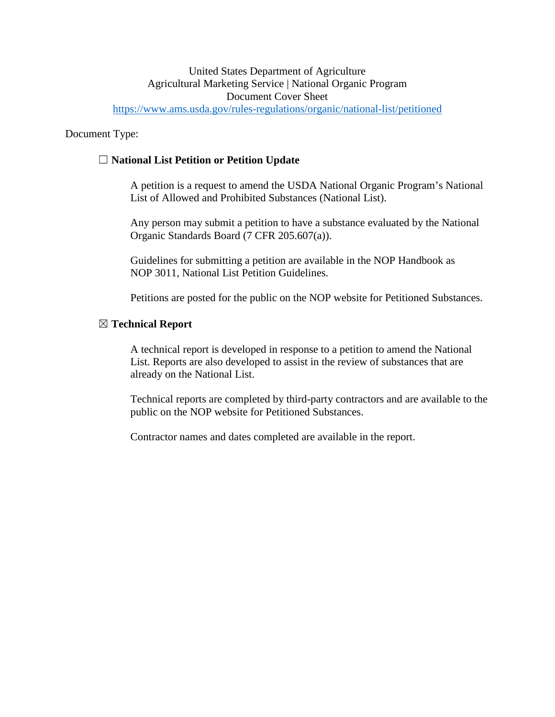### United States Department of Agriculture Agricultural Marketing Service | National Organic Program Document Cover Sheet <https://www.ams.usda.gov/rules-regulations/organic/national-list/petitioned>

Document Type:

# ☐ **National List Petition or Petition Update**

A petition is a request to amend the USDA National Organic Program's National List of Allowed and Prohibited Substances (National List).

Any person may submit a petition to have a substance evaluated by the National Organic Standards Board (7 CFR 205.607(a)).

Guidelines for submitting a petition are available in the NOP Handbook as NOP 3011, National List Petition Guidelines.

Petitions are posted for the public on the NOP website for Petitioned Substances.

#### ☒ **Technical Report**

A technical report is developed in response to a petition to amend the National List. Reports are also developed to assist in the review of substances that are already on the National List.

Technical reports are completed by third-party contractors and are available to the public on the NOP website for Petitioned Substances.

Contractor names and dates completed are available in the report.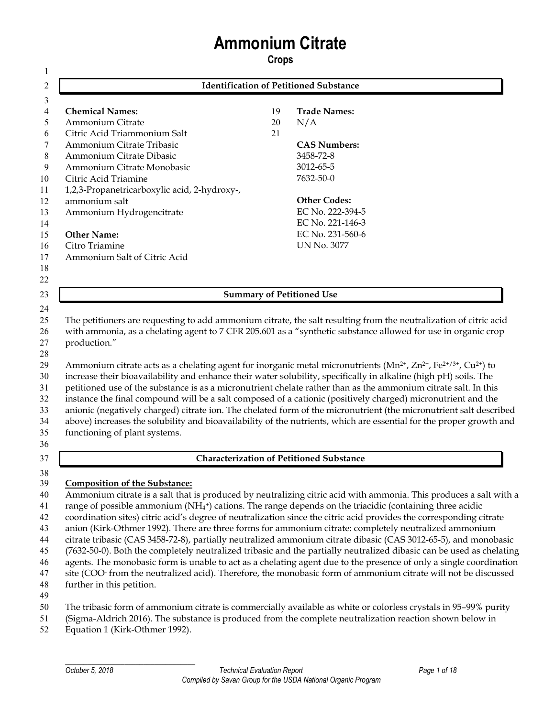# **Ammonium Citrate**

**Crops**

| 2                                                  |    | <b>Identification of Petitioned Substance</b> |
|----------------------------------------------------|----|-----------------------------------------------|
| 3                                                  |    |                                               |
| <b>Chemical Names:</b><br>4                        | 19 | <b>Trade Names:</b>                           |
| Ammonium Citrate<br>5.                             | 20 | N/A                                           |
| Citric Acid Triammonium Salt<br>6                  | 21 |                                               |
| Ammonium Citrate Tribasic<br>7                     |    | <b>CAS Numbers:</b>                           |
| Ammonium Citrate Dibasic<br>8                      |    | 3458-72-8                                     |
| Ammonium Citrate Monobasic<br>9                    |    | 3012-65-5                                     |
| Citric Acid Triamine<br>10                         |    | 7632-50-0                                     |
| 1,2,3-Propanetricarboxylic acid, 2-hydroxy-,<br>11 |    |                                               |
| ammonium salt<br>12                                |    | <b>Other Codes:</b>                           |
| 13<br>Ammonium Hydrogencitrate                     |    | EC No. 222-394-5                              |
| 14                                                 |    | EC No. 221-146-3                              |
| <b>Other Name:</b><br>15                           |    | EC No. 231-560-6                              |
| Citro Triamine<br>16                               |    | UN No. 3077                                   |
| Ammonium Salt of Citric Acid<br>17                 |    |                                               |
| 18                                                 |    |                                               |
| 22                                                 |    |                                               |
| 23                                                 |    | <b>Summary of Petitioned Use</b>              |

 The petitioners are requesting to add ammonium citrate, the salt resulting from the neutralization of citric acid with ammonia, as a chelating agent to 7 CFR 205.601 as a "synthetic substance allowed for use in organic crop production."

 29 Ammonium citrate acts as a chelating agent for inorganic metal micronutrients ( $Mn^{2+}$ ,  $Zn^{2+}$ ,  $Fe^{2+}/3+$ ,  $Cu^{2+}$ ) to increase their bioavailability and enhance their water solubility, specifically in alkaline (high pH) soils. The petitioned use of the substance is as a micronutrient chelate rather than as the ammonium citrate salt. In this instance the final compound will be a salt composed of a cationic (positively charged) micronutrient and the anionic (negatively charged) citrate ion. The chelated form of the micronutrient (the micronutrient salt described above) increases the solubility and bioavailability of the nutrients, which are essential for the proper growth and functioning of plant systems. 

#### **Characterization of Petitioned Substance**

#### **Composition of the Substance:**

 Ammonium citrate is a salt that is produced by neutralizing citric acid with ammonia. This produces a salt with a 41 ange of possible ammonium ( $NH<sub>4</sub>$ <sup>+</sup>) cations. The range depends on the triacidic (containing three acidic coordination sites) citric acid's degree of neutralization since the citric acid provides the corresponding citrate anion (Kirk-Othmer 1992). There are three forms for ammonium citrate: completely neutralized ammonium citrate tribasic (CAS 3458-72-8), partially neutralized ammonium citrate dibasic (CAS 3012-65-5), and monobasic (7632-50-0). Both the completely neutralized tribasic and the partially neutralized dibasic can be used as chelating agents. The monobasic form is unable to act as a chelating agent due to the presence of only a single coordination 47 site (COO<sup>-</sup> from the neutralized acid). Therefore, the monobasic form of ammonium citrate will not be discussed further in this petition. 

- The tribasic form of ammonium citrate is commercially available as white or colorless crystals in 95–99% purity
- (Sigma-Aldrich 2016). The substance is produced from the complete neutralization reaction shown below in
- Equation 1 (Kirk-Othmer 1992).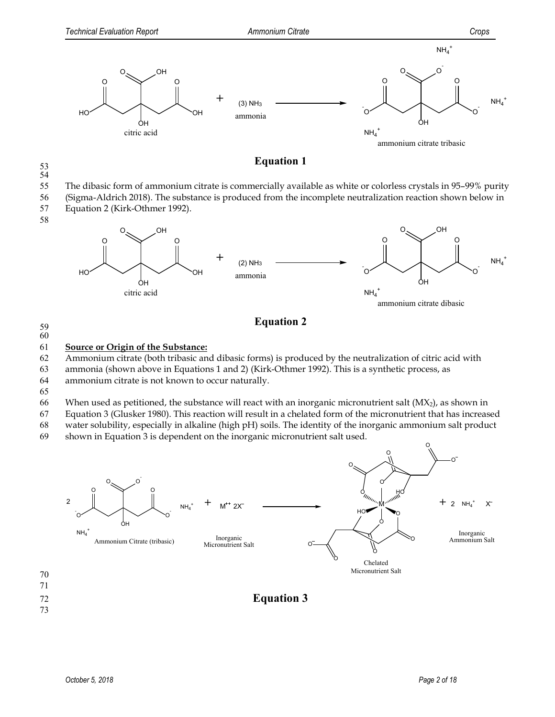

#### **Equation 1**

54

58

#### 55 The dibasic form of ammonium citrate is commercially available as white or colorless crystals in 95–99% purity

- 56 (Sigma-Aldrich 2018). The substance is produced from the incomplete neutralization reaction shown below in
- 57 Equation 2 (Kirk-Othmer 1992).



# **Equation 2** <sup>59</sup>

60

#### 61 **Source or Origin of the Substance:**

62 Ammonium citrate (both tribasic and dibasic forms) is produced by the neutralization of citric acid with

63 ammonia (shown above in Equations 1 and 2) (Kirk-Othmer 1992). This is a synthetic process, as

- 64 ammonium citrate is not known to occur naturally.
- 65

66 When used as petitioned, the substance will react with an inorganic micronutrient salt  $(MX_2)$ , as shown in

67 Equation 3 (Glusker 1980). This reaction will result in a chelated form of the micronutrient that has increased

68 water solubility, especially in alkaline (high pH) soils. The identity of the inorganic ammonium salt product

69 shown in Equation 3 is dependent on the inorganic micronutrient salt used.



73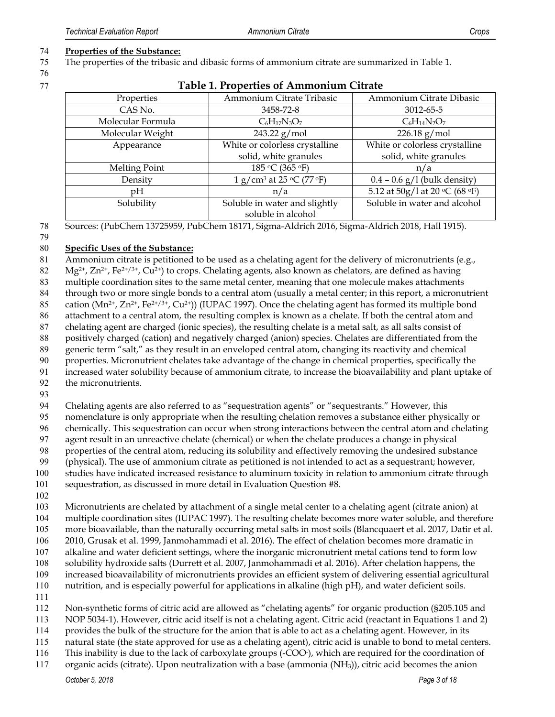#### **Properties of the Substance:**

The properties of the tribasic and dibasic forms of ammonium citrate are summarized in Table 1.

| Table 1. I Topernes of Thillifolitani Chiale |                                                                   |                                  |
|----------------------------------------------|-------------------------------------------------------------------|----------------------------------|
| Properties                                   | Ammonium Citrate Tribasic                                         | Ammonium Citrate Dibasic         |
| CAS No.                                      | 3458-72-8                                                         | 3012-65-5                        |
| Molecular Formula                            | $C_6H_{17}N_3O_7$                                                 | $C_6H_{14}N_2O_7$                |
| Molecular Weight                             | $243.22$ g/mol                                                    | $226.18$ g/mol                   |
| Appearance                                   | White or colorless crystalline                                    | White or colorless crystalline   |
|                                              | solid, white granules                                             | solid, white granules            |
| Melting Point                                | 185 °C (365 °F)                                                   | n/a                              |
| Density                                      | 1 g/cm <sup>3</sup> at 25 $\rm{^{\circ}C}$ (77 $\rm{^{\circ}F}$ ) | $0.4 - 0.6$ g/l (bulk density)   |
| pH                                           | n/a                                                               | 5.12 at $50g/1$ at 20 °C (68 °F) |
| Solubility                                   | Soluble in water and slightly                                     | Soluble in water and alcohol     |
|                                              | soluble in alcohol                                                |                                  |

# **Table 1. Properties of Ammonium Citrate**

Sources: (PubChem 13725959, PubChem 18171, Sigma-Aldrich 2016, Sigma-Aldrich 2018, Hall 1915).

#### 

#### **Specific Uses of the Substance:**

Ammonium citrate is petitioned to be used as a chelating agent for the delivery of micronutrients (e.g.,

 $Mg^{2+}$ ,  $Zn^{2+}$ ,  $Fe^{2+/3+}$ ,  $Cu^{2+}$ ) to crops. Chelating agents, also known as chelators, are defined as having

multiple coordination sites to the same metal center, meaning that one molecule makes attachments

through two or more single bonds to a central atom (usually a metal center; in this report, a micronutrient

85 cation (Mn<sup>2+</sup>, Zn<sup>2+</sup>, Fe<sup>2+/3+</sup>, Cu<sup>2+</sup>)) (IUPAC 1997). Once the chelating agent has formed its multiple bond

attachment to a central atom, the resulting complex is known as a chelate. If both the central atom and

chelating agent are charged (ionic species), the resulting chelate is a metal salt, as all salts consist of

positively charged (cation) and negatively charged (anion) species. Chelates are differentiated from the

 generic term "salt," as they result in an enveloped central atom, changing its reactivity and chemical properties. Micronutrient chelates take advantage of the change in chemical properties, specifically the

increased water solubility because of ammonium citrate, to increase the bioavailability and plant uptake of

the micronutrients.

94 Chelating agents are also referred to as "sequestration agents" or "sequestrants." However, this

nomenclature is only appropriate when the resulting chelation removes a substance either physically or

chemically. This sequestration can occur when strong interactions between the central atom and chelating

agent result in an unreactive chelate (chemical) or when the chelate produces a change in physical

properties of the central atom, reducing its solubility and effectively removing the undesired substance

(physical). The use of ammonium citrate as petitioned is not intended to act as a sequestrant; however,

studies have indicated increased resistance to aluminum toxicity in relation to ammonium citrate through

sequestration, as discussed in more detail in Evaluation Question #8.

Micronutrients are chelated by attachment of a single metal center to a chelating agent (citrate anion) at

multiple coordination sites (IUPAC 1997). The resulting chelate becomes more water soluble, and therefore

more bioavailable, than the naturally occurring metal salts in most soils (Blancquaert et al. 2017, Datir et al.

2010, Grusak et al. 1999, Janmohammadi et al. 2016). The effect of chelation becomes more dramatic in

alkaline and water deficient settings, where the inorganic micronutrient metal cations tend to form low

solubility hydroxide salts (Durrett et al. 2007, Janmohammadi et al. 2016). After chelation happens, the

increased bioavailability of micronutrients provides an efficient system of delivering essential agricultural

nutrition, and is especially powerful for applications in alkaline (high pH), and water deficient soils.

Non-synthetic forms of citric acid are allowed as "chelating agents" for organic production (§205.105 and

NOP 5034-1). However, citric acid itself is not a chelating agent. Citric acid (reactant in Equations 1 and 2)

provides the bulk of the structure for the anion that is able to act as a chelating agent. However, in its

natural state (the state approved for use as a chelating agent), citric acid is unable to bond to metal centers.

116 This inability is due to the lack of carboxylate groups (-COO<sup>-</sup>), which are required for the coordination of

organic acids (citrate). Upon neutralization with a base (ammonia (NH3)), citric acid becomes the anion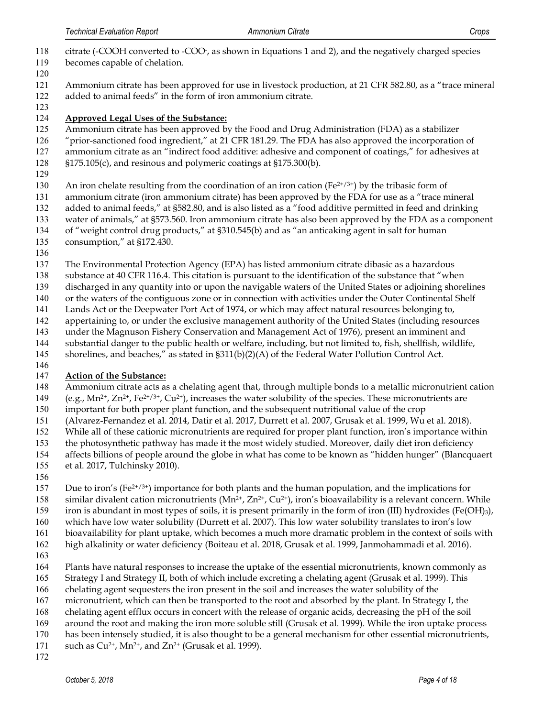- 118 citrate (-COOH converted to -COO-, as shown in Equations 1 and 2), and the negatively charged species
- becomes capable of chelation.
- Ammonium citrate has been approved for use in livestock production, at 21 CFR 582.80, as a "trace mineral added to animal feeds" in the form of iron ammonium citrate.
- **Approved Legal Uses of the Substance:**
- Ammonium citrate has been approved by the Food and Drug Administration (FDA) as a stabilizer
- "prior-sanctioned food ingredient," at 21 CFR 181.29. The FDA has also approved the incorporation of
- ammonium citrate as an "indirect food additive: adhesive and component of coatings," for adhesives at
- §175.105(c), and resinous and polymeric coatings at §175.300(b).
- 
- 130 An iron chelate resulting from the coordination of an iron cation ( $Fe^{2+/3+}$ ) by the tribasic form of
- ammonium citrate (iron ammonium citrate) has been approved by the FDA for use as a "trace mineral
- added to animal feeds," at §582.80, and is also listed as a "food additive permitted in feed and drinking
- water of animals," at §573.560. Iron ammonium citrate has also been approved by the FDA as a component
- of "weight control drug products," at §310.545(b) and as "an anticaking agent in salt for human
- consumption," at §172.430.
- 
- The Environmental Protection Agency (EPA) has listed ammonium citrate dibasic as a hazardous
- substance at 40 CFR 116.4. This citation is pursuant to the identification of the substance that "when
- discharged in any quantity into or upon the navigable waters of the United States or adjoining shorelines
- or the waters of the contiguous zone or in connection with activities under the Outer Continental Shelf
- Lands Act or the Deepwater Port Act of 1974, or which may affect natural resources belonging to,
- appertaining to, or under the exclusive management authority of the United States (including resources
- under the Magnuson Fishery Conservation and Management Act of 1976), present an imminent and
- substantial danger to the public health or welfare, including, but not limited to, fish, shellfish, wildlife,
- shorelines, and beaches," as stated in §311(b)(2)(A) of the Federal Water Pollution Control Act.
- 

# **Action of the Substance:**

- Ammonium citrate acts as a chelating agent that, through multiple bonds to a metallic micronutrient cation
- 149 (e.g.,  $Mn^{2+}$ ,  $Zn^{2+}$ ,  $Fe^{2+/3+}$ ,  $Cu^{2+}$ ), increases the water solubility of the species. These micronutrients are
- important for both proper plant function, and the subsequent nutritional value of the crop
- (Alvarez-Fernandez et al. 2014, Datir et al. 2017, Durrett et al. 2007, Grusak et al. 1999, Wu et al. 2018).
- While all of these cationic micronutrients are required for proper plant function, iron's importance within
- the photosynthetic pathway has made it the most widely studied. Moreover, daily diet iron deficiency
- affects billions of people around the globe in what has come to be known as "hidden hunger" (Blancquaert
- et al. 2017, Tulchinsky 2010).
- 
- 157 Due to iron's ( $Fe^{2+\frac{1}{3}}$ ) importance for both plants and the human population, and the implications for
- 158 similar divalent cation micronutrients ( $Mn^{2+}$ ,  $Zn^{2+}$ , Cu<sup>2+</sup>), iron's bioavailability is a relevant concern. While
- iron is abundant in most types of soils, it is present primarily in the form of iron (III) hydroxides (Fe(OH)3),
- which have low water solubility (Durrett et al. 2007). This low water solubility translates to iron's low
- bioavailability for plant uptake, which becomes a much more dramatic problem in the context of soils with
- high alkalinity or water deficiency (Boiteau et al. 2018, Grusak et al. 1999, Janmohammadi et al. 2016).
- 
- Plants have natural responses to increase the uptake of the essential micronutrients, known commonly as
- Strategy I and Strategy II, both of which include excreting a chelating agent (Grusak et al. 1999). This
- chelating agent sequesters the iron present in the soil and increases the water solubility of the
- micronutrient, which can then be transported to the root and absorbed by the plant. In Strategy I, the
- chelating agent efflux occurs in concert with the release of organic acids, decreasing the pH of the soil
- around the root and making the iron more soluble still (Grusak et al. 1999). While the iron uptake process
- has been intensely studied, it is also thought to be a general mechanism for other essential micronutrients,
- 171 such as  $Cu^{2+}$ , Mn<sup>2+</sup>, and Zn<sup>2+</sup> (Grusak et al. 1999).
-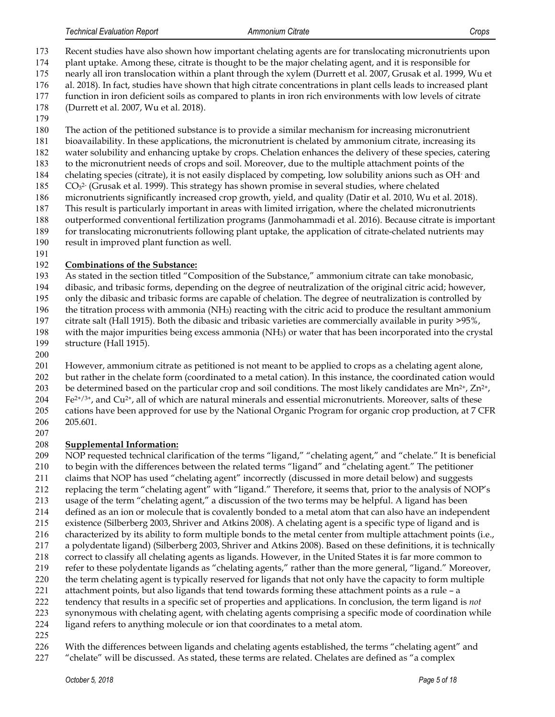Recent studies have also shown how important chelating agents are for translocating micronutrients upon plant uptake. Among these, citrate is thought to be the major chelating agent, and it is responsible for

- nearly all iron translocation within a plant through the xylem (Durrett et al. 2007, Grusak et al. 1999, Wu et
- al. 2018). In fact, studies have shown that high citrate concentrations in plant cells leads to increased plant
- function in iron deficient soils as compared to plants in iron rich environments with low levels of citrate
- (Durrett et al. 2007, Wu et al. 2018).
- 
- The action of the petitioned substance is to provide a similar mechanism for increasing micronutrient
- bioavailability. In these applications, the micronutrient is chelated by ammonium citrate, increasing its
- water solubility and enhancing uptake by crops. Chelation enhances the delivery of these species, catering
- to the micronutrient needs of crops and soil. Moreover, due to the multiple attachment points of the 184 chelating species (citrate), it is not easily displaced by competing, low solubility anions such as OH and
- $CO<sub>3</sub><sup>2</sup>$  (Grusak et al. 1999). This strategy has shown promise in several studies, where chelated
- micronutrients significantly increased crop growth, yield, and quality (Datir et al. 2010, Wu et al. 2018).
- This result is particularly important in areas with limited irrigation, where the chelated micronutrients
- outperformed conventional fertilization programs (Janmohammadi et al. 2016). Because citrate is important
- for translocating micronutrients following plant uptake, the application of citrate-chelated nutrients may
- result in improved plant function as well.
- 

# **Combinations of the Substance:**

As stated in the section titled "Composition of the Substance," ammonium citrate can take monobasic,

dibasic, and tribasic forms, depending on the degree of neutralization of the original citric acid; however,

only the dibasic and tribasic forms are capable of chelation. The degree of neutralization is controlled by

196 the titration process with ammonia  $(NH_3)$  reacting with the citric acid to produce the resultant ammonium

- citrate salt (Hall 1915). Both the dibasic and tribasic varieties are commercially available in purity >95%,
- with the major impurities being excess ammonia (NH3) or water that has been incorporated into the crystal structure (Hall 1915).
- 

 However, ammonium citrate as petitioned is not meant to be applied to crops as a chelating agent alone, but rather in the chelate form (coordinated to a metal cation). In this instance, the coordinated cation would 203 be determined based on the particular crop and soil conditions. The most likely candidates are Mn<sup>2+</sup>, Zn<sup>2+</sup>,  $F e^{2t/3t}$ , and  $Cu^{2t}$ , all of which are natural minerals and essential micronutrients. Moreover, salts of these cations have been approved for use by the National Organic Program for organic crop production, at 7 CFR 205.601.

# **Supplemental Information:**

 NOP requested technical clarification of the terms "ligand," "chelating agent," and "chelate." It is beneficial to begin with the differences between the related terms "ligand" and "chelating agent." The petitioner claims that NOP has used "chelating agent" incorrectly (discussed in more detail below) and suggests

replacing the term "chelating agent" with "ligand." Therefore, it seems that, prior to the analysis of NOP's

- usage of the term "chelating agent," a discussion of the two terms may be helpful. A ligand has been
- defined as an ion or molecule that is covalently bonded to a metal atom that can also have an independent
- existence (Silberberg 2003, Shriver and Atkins 2008). A chelating agent is a specific type of ligand and is
- characterized by its ability to form multiple bonds to the metal center from multiple attachment points (i.e., a polydentate ligand) (Silberberg 2003, Shriver and Atkins 2008). Based on these definitions, it is technically
- correct to classify all chelating agents as ligands. However, in the United States it is far more common to
- refer to these polydentate ligands as "chelating agents," rather than the more general, "ligand." Moreover,
- the term chelating agent is typically reserved for ligands that not only have the capacity to form multiple
- attachment points, but also ligands that tend towards forming these attachment points as a rule a
- tendency that results in a specific set of properties and applications. In conclusion, the term ligand is *not*
- synonymous with chelating agent, with chelating agents comprising a specific mode of coordination while
- ligand refers to anything molecule or ion that coordinates to a metal atom.
- 
- 226 With the differences between ligands and chelating agents established, the terms "chelating agent" and
- "chelate" will be discussed. As stated, these terms are related. Chelates are defined as "a complex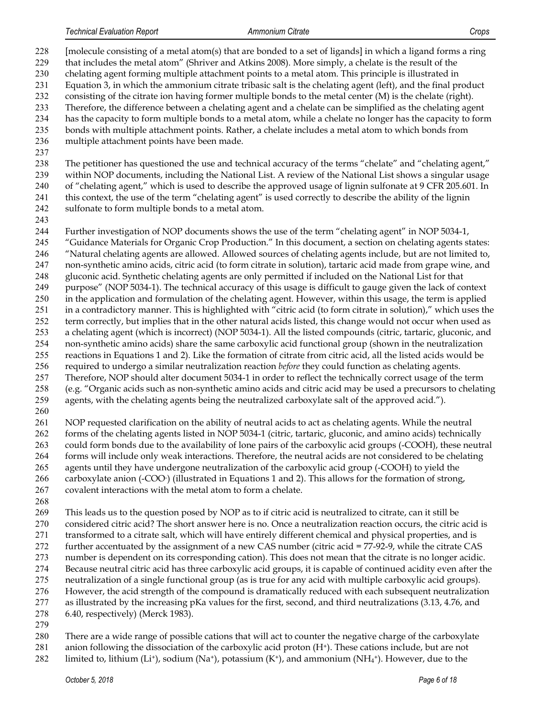[molecule consisting of a metal atom(s) that are bonded to a set of ligands] in which a ligand forms a ring that includes the metal atom" (Shriver and Atkins 2008). More simply, a chelate is the result of the chelating agent forming multiple attachment points to a metal atom. This principle is illustrated in

- Equation 3, in which the ammonium citrate tribasic salt is the chelating agent (left), and the final product
- consisting of the citrate ion having former multiple bonds to the metal center (M) is the chelate (right).
- Therefore, the difference between a chelating agent and a chelate can be simplified as the chelating agent has the capacity to form multiple bonds to a metal atom, while a chelate no longer has the capacity to form
- bonds with multiple attachment points. Rather, a chelate includes a metal atom to which bonds from
- multiple attachment points have been made.
- 

238 The petitioner has questioned the use and technical accuracy of the terms "chelate" and "chelating agent," within NOP documents, including the National List. A review of the National List shows a singular usage of "chelating agent," which is used to describe the approved usage of lignin sulfonate at 9 CFR 205.601. In this context, the use of the term "chelating agent" is used correctly to describe the ability of the lignin sulfonate to form multiple bonds to a metal atom.

Further investigation of NOP documents shows the use of the term "chelating agent" in NOP 5034-1,

- "Guidance Materials for Organic Crop Production." In this document, a section on chelating agents states: "Natural chelating agents are allowed. Allowed sources of chelating agents include, but are not limited to, non-synthetic amino acids, citric acid (to form citrate in solution), tartaric acid made from grape wine, and
- gluconic acid. Synthetic chelating agents are only permitted if included on the National List for that
- purpose" (NOP 5034-1). The technical accuracy of this usage is difficult to gauge given the lack of context
- in the application and formulation of the chelating agent. However, within this usage, the term is applied in a contradictory manner. This is highlighted with "citric acid (to form citrate in solution)," which uses the
- term correctly, but implies that in the other natural acids listed, this change would not occur when used as
- a chelating agent (which is incorrect) (NOP 5034-1). All the listed compounds (citric, tartaric, gluconic, and non-synthetic amino acids) share the same carboxylic acid functional group (shown in the neutralization
- reactions in Equations 1 and 2). Like the formation of citrate from citric acid, all the listed acids would be
- required to undergo a similar neutralization reaction *before* they could function as chelating agents.
- Therefore, NOP should alter document 5034-1 in order to reflect the technically correct usage of the term
- (e.g. "Organic acids such as non-synthetic amino acids and citric acid may be used a precursors to chelating agents, with the chelating agents being the neutralized carboxylate salt of the approved acid.").
- 

 NOP requested clarification on the ability of neutral acids to act as chelating agents. While the neutral forms of the chelating agents listed in NOP 5034-1 (citric, tartaric, gluconic, and amino acids) technically could form bonds due to the availability of lone pairs of the carboxylic acid groups (-COOH), these neutral forms will include only weak interactions. Therefore, the neutral acids are not considered to be chelating agents until they have undergone neutralization of the carboxylic acid group (-COOH) to yield the 266 carboxylate anion (-COO) (illustrated in Equations 1 and 2). This allows for the formation of strong, covalent interactions with the metal atom to form a chelate.

- 
- This leads us to the question posed by NOP as to if citric acid is neutralized to citrate, can it still be considered citric acid? The short answer here is no. Once a neutralization reaction occurs, the citric acid is transformed to a citrate salt, which will have entirely different chemical and physical properties, and is further accentuated by the assignment of a new CAS number (citric acid = 77-92-9, while the citrate CAS number is dependent on its corresponding cation). This does not mean that the citrate is no longer acidic. Because neutral citric acid has three carboxylic acid groups, it is capable of continued acidity even after the neutralization of a single functional group (as is true for any acid with multiple carboxylic acid groups). However, the acid strength of the compound is dramatically reduced with each subsequent neutralization as illustrated by the increasing pKa values for the first, second, and third neutralizations (3.13, 4.76, and 6.40, respectively) (Merck 1983).
- 
- There are a wide range of possible cations that will act to counter the negative charge of the carboxylate
- 281 anion following the dissociation of the carboxylic acid proton  $(H<sup>+</sup>)$ . These cations include, but are not
- 282 limited to, lithium (Li<sup>+</sup>), sodium (Na<sup>+</sup>), potassium  $(K^+)$ , and ammonium (NH<sub>4</sub><sup>+</sup>). However, due to the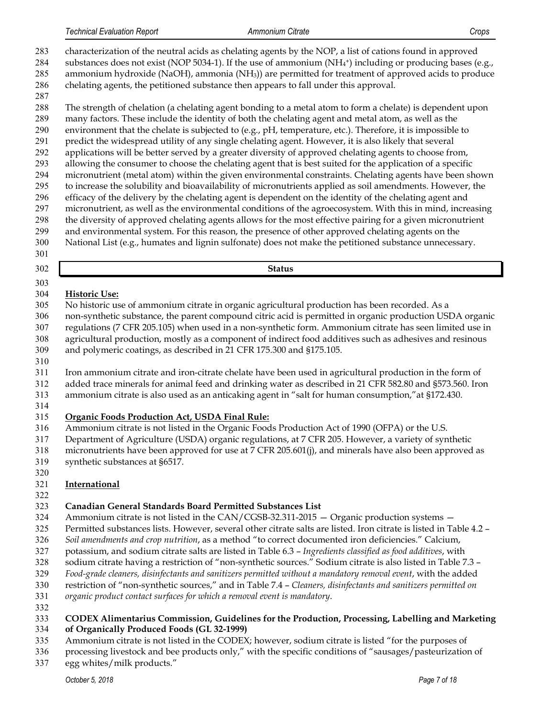characterization of the neutral acids as chelating agents by the NOP, a list of cations found in approved 284 substances does not exist (NOP 5034-1). If the use of ammonium ( $NH<sub>4</sub>$ <sup>+</sup>) including or producing bases (e.g., ammonium hydroxide (NaOH), ammonia (NH3)) are permitted for treatment of approved acids to produce chelating agents, the petitioned substance then appears to fall under this approval.

- 
- The strength of chelation (a chelating agent bonding to a metal atom to form a chelate) is dependent upon

 many factors. These include the identity of both the chelating agent and metal atom, as well as the environment that the chelate is subjected to (e.g., pH, temperature, etc.). Therefore, it is impossible to predict the widespread utility of any single chelating agent. However, it is also likely that several applications will be better served by a greater diversity of approved chelating agents to choose from, allowing the consumer to choose the chelating agent that is best suited for the application of a specific micronutrient (metal atom) within the given environmental constraints. Chelating agents have been shown to increase the solubility and bioavailability of micronutrients applied as soil amendments. However, the efficacy of the delivery by the chelating agent is dependent on the identity of the chelating agent and

- micronutrient, as well as the environmental conditions of the agroecosystem. With this in mind, increasing the diversity of approved chelating agents allows for the most effective pairing for a given micronutrient
- and environmental system. For this reason, the presence of other approved chelating agents on the
- National List (e.g., humates and lignin sulfonate) does not make the petitioned substance unnecessary.
- 

**Status**

# **Historic Use:**

- No historic use of ammonium citrate in organic agricultural production has been recorded. As a
- non-synthetic substance, the parent compound citric acid is permitted in organic production USDA organic regulations (7 CFR 205.105) when used in a non-synthetic form. Ammonium citrate has seen limited use in
- agricultural production, mostly as a component of indirect food additives such as adhesives and resinous
- and polymeric coatings, as described in 21 CFR 175.300 and §175.105.
- 
- Iron ammonium citrate and iron-citrate chelate have been used in agricultural production in the form of
- added trace minerals for animal feed and drinking water as described in 21 CFR 582.80 and §573.560. Iron
- ammonium citrate is also used as an anticaking agent in "salt for human consumption,"at §172.430.
- 

# **Organic Foods Production Act, USDA Final Rule:**

- Ammonium citrate is not listed in the Organic Foods Production Act of 1990 (OFPA) or the U.S.
- Department of Agriculture (USDA) organic regulations, at 7 CFR 205. However, a variety of synthetic
- micronutrients have been approved for use at 7 CFR 205.601(j), and minerals have also been approved as
- synthetic substances at §6517.
- 

# **International**

# **Canadian General Standards Board Permitted Substances List**

- Ammonium citrate is not listed in the CAN/CGSB-32.311-2015 Organic production systems —
- Permitted substances lists. However, several other citrate salts are listed. Iron citrate is listed in Table 4.2 –
- *Soil amendments and crop nutrition*, as a method "to correct documented iron deficiencies." Calcium,
- potassium, and sodium citrate salts are listed in Table 6.3 *Ingredients classified as food additives*, with
- sodium citrate having a restriction of "non-synthetic sources." Sodium citrate is also listed in Table 7.3 –
- *Food-grade cleaners, disinfectants and sanitizers permitted without a mandatory removal event*, with the added
- restriction of "non-synthetic sources," and in Table 7.4 *Cleaners, disinfectants and sanitizers permitted on*
- *organic product contact surfaces for which a removal event is mandatory*.
- 

#### **CODEX Alimentarius Commission, Guidelines for the Production, Processing, Labelling and Marketing of Organically Produced Foods (GL 32-1999)**

- Ammonium citrate is not listed in the CODEX; however, sodium citrate is listed "for the purposes of
- processing livestock and bee products only," with the specific conditions of "sausages/pasteurization of egg whites/milk products."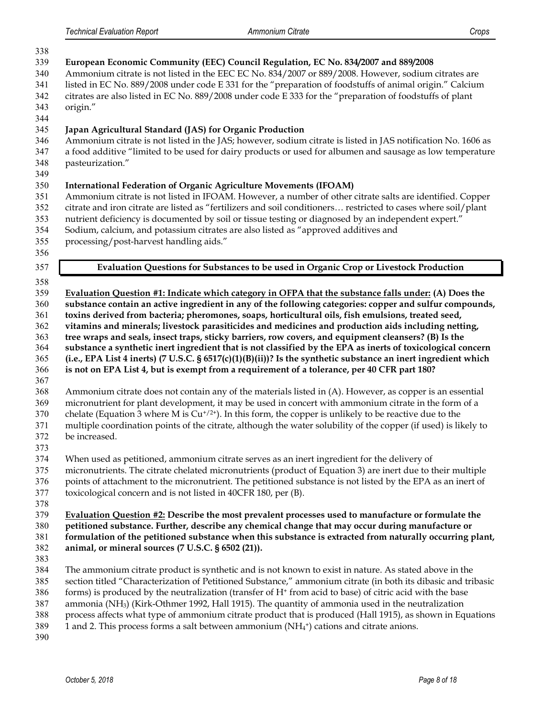| 338                                                                                                                        |                                                                                                                                                                                                                                                                                                                                                                                                                                                                                                                                                                                                                                                                                                                                                                                                                                                                                                                                                                                                                                                                                                                                                                                                                                                                                                                                                                                                                                                                                                                                                             |
|----------------------------------------------------------------------------------------------------------------------------|-------------------------------------------------------------------------------------------------------------------------------------------------------------------------------------------------------------------------------------------------------------------------------------------------------------------------------------------------------------------------------------------------------------------------------------------------------------------------------------------------------------------------------------------------------------------------------------------------------------------------------------------------------------------------------------------------------------------------------------------------------------------------------------------------------------------------------------------------------------------------------------------------------------------------------------------------------------------------------------------------------------------------------------------------------------------------------------------------------------------------------------------------------------------------------------------------------------------------------------------------------------------------------------------------------------------------------------------------------------------------------------------------------------------------------------------------------------------------------------------------------------------------------------------------------------|
| 339<br>340<br>341<br>342<br>343<br>344                                                                                     | European Economic Community (EEC) Council Regulation, EC No. 834/2007 and 889/2008<br>Ammonium citrate is not listed in the EEC EC No. 834/2007 or 889/2008. However, sodium citrates are<br>listed in EC No. 889/2008 under code E 331 for the "preparation of foodstuffs of animal origin." Calcium<br>citrates are also listed in EC No. 889/2008 under code E 333 for the "preparation of foodstuffs of plant<br>origin."                                                                                                                                                                                                                                                                                                                                                                                                                                                                                                                                                                                                                                                                                                                                                                                                                                                                                                                                                                                                                                                                                                                               |
| 345<br>346<br>347<br>348<br>349                                                                                            | Japan Agricultural Standard (JAS) for Organic Production<br>Ammonium citrate is not listed in the JAS; however, sodium citrate is listed in JAS notification No. 1606 as<br>a food additive "limited to be used for dairy products or used for albumen and sausage as low temperature<br>pasteurization."                                                                                                                                                                                                                                                                                                                                                                                                                                                                                                                                                                                                                                                                                                                                                                                                                                                                                                                                                                                                                                                                                                                                                                                                                                                   |
| 350<br>351<br>352<br>353<br>354<br>355<br>356                                                                              | <b>International Federation of Organic Agriculture Movements (IFOAM)</b><br>Ammonium citrate is not listed in IFOAM. However, a number of other citrate salts are identified. Copper<br>citrate and iron citrate are listed as "fertilizers and soil conditioners restricted to cases where soil/plant<br>nutrient deficiency is documented by soil or tissue testing or diagnosed by an independent expert."<br>Sodium, calcium, and potassium citrates are also listed as "approved additives and<br>processing/post-harvest handling aids."                                                                                                                                                                                                                                                                                                                                                                                                                                                                                                                                                                                                                                                                                                                                                                                                                                                                                                                                                                                                              |
| 357                                                                                                                        | Evaluation Questions for Substances to be used in Organic Crop or Livestock Production                                                                                                                                                                                                                                                                                                                                                                                                                                                                                                                                                                                                                                                                                                                                                                                                                                                                                                                                                                                                                                                                                                                                                                                                                                                                                                                                                                                                                                                                      |
| 358<br>359<br>360<br>361<br>362<br>363<br>364<br>365<br>366<br>367<br>368<br>369<br>370<br>371<br>372<br>373<br>374<br>375 | Evaluation Question #1: Indicate which category in OFPA that the substance falls under: (A) Does the<br>substance contain an active ingredient in any of the following categories: copper and sulfur compounds,<br>toxins derived from bacteria; pheromones, soaps, horticultural oils, fish emulsions, treated seed,<br>vitamins and minerals; livestock parasiticides and medicines and production aids including netting,<br>tree wraps and seals, insect traps, sticky barriers, row covers, and equipment cleansers? (B) Is the<br>substance a synthetic inert ingredient that is not classified by the EPA as inerts of toxicological concern<br>(i.e., EPA List 4 inerts) (7 U.S.C. § 6517(c)(1)(B)(ii))? Is the synthetic substance an inert ingredient which<br>is not on EPA List 4, but is exempt from a requirement of a tolerance, per 40 CFR part 180?<br>Ammonium citrate does not contain any of the materials listed in (A). However, as copper is an essential<br>micronutrient for plant development, it may be used in concert with ammonium citrate in the form of a<br>chelate (Equation 3 where M is $Cu^{+/2+}$ ). In this form, the copper is unlikely to be reactive due to the<br>multiple coordination points of the citrate, although the water solubility of the copper (if used) is likely to<br>be increased.<br>When used as petitioned, ammonium citrate serves as an inert ingredient for the delivery of<br>micronutrients. The citrate chelated micronutrients (product of Equation 3) are inert due to their multiple |
| 376<br>377<br>378                                                                                                          | points of attachment to the micronutrient. The petitioned substance is not listed by the EPA as an inert of<br>toxicological concern and is not listed in 40CFR 180, per (B).                                                                                                                                                                                                                                                                                                                                                                                                                                                                                                                                                                                                                                                                                                                                                                                                                                                                                                                                                                                                                                                                                                                                                                                                                                                                                                                                                                               |
| 379<br>380<br>381<br>382<br>383                                                                                            | Evaluation Question #2: Describe the most prevalent processes used to manufacture or formulate the<br>petitioned substance. Further, describe any chemical change that may occur during manufacture or<br>formulation of the petitioned substance when this substance is extracted from naturally occurring plant,<br>animal, or mineral sources (7 U.S.C. § 6502 (21)).                                                                                                                                                                                                                                                                                                                                                                                                                                                                                                                                                                                                                                                                                                                                                                                                                                                                                                                                                                                                                                                                                                                                                                                    |
| 384<br>385<br>386<br>387<br>388<br>389<br>390                                                                              | The ammonium citrate product is synthetic and is not known to exist in nature. As stated above in the<br>section titled "Characterization of Petitioned Substance," ammonium citrate (in both its dibasic and tribasic<br>forms) is produced by the neutralization (transfer of H <sup>+</sup> from acid to base) of citric acid with the base<br>ammonia (NH <sub>3</sub> ) (Kirk-Othmer 1992, Hall 1915). The quantity of ammonia used in the neutralization<br>process affects what type of ammonium citrate product that is produced (Hall 1915), as shown in Equations<br>1 and 2. This process forms a salt between ammonium $(NH_4^+)$ cations and citrate anions.                                                                                                                                                                                                                                                                                                                                                                                                                                                                                                                                                                                                                                                                                                                                                                                                                                                                                   |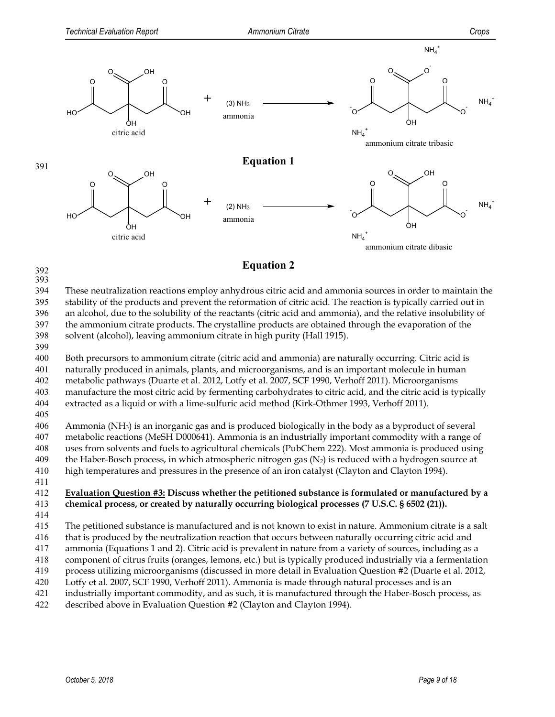

# **Equation 2 Equation 2**

393

 These neutralization reactions employ anhydrous citric acid and ammonia sources in order to maintain the stability of the products and prevent the reformation of citric acid. The reaction is typically carried out in an alcohol, due to the solubility of the reactants (citric acid and ammonia), and the relative insolubility of the ammonium citrate products. The crystalline products are obtained through the evaporation of the

- 398 solvent (alcohol), leaving ammonium citrate in high purity (Hall 1915).
- 399

 Both precursors to ammonium citrate (citric acid and ammonia) are naturally occurring. Citric acid is naturally produced in animals, plants, and microorganisms, and is an important molecule in human metabolic pathways (Duarte et al. 2012, Lotfy et al. 2007, SCF 1990, Verhoff 2011). Microorganisms manufacture the most citric acid by fermenting carbohydrates to citric acid, and the citric acid is typically

404 extracted as a liquid or with a lime-sulfuric acid method (Kirk-Othmer 1993, Verhoff 2011).

405

 Ammonia (NH3) is an inorganic gas and is produced biologically in the body as a byproduct of several metabolic reactions (MeSH D000641). Ammonia is an industrially important commodity with a range of uses from solvents and fuels to agricultural chemicals (PubChem 222). Most ammonia is produced using 409 the Haber-Bosch process, in which atmospheric nitrogen gas  $(N_2)$  is reduced with a hydrogen source at high temperatures and pressures in the presence of an iron catalyst (Clayton and Clayton 1994).

411

412 **Evaluation Question #3: Discuss whether the petitioned substance is formulated or manufactured by a**  413 **chemical process, or created by naturally occurring biological processes (7 U.S.C. § 6502 (21)).** 

414

415 The petitioned substance is manufactured and is not known to exist in nature. Ammonium citrate is a salt

416 that is produced by the neutralization reaction that occurs between naturally occurring citric acid and

- 417 ammonia (Equations 1 and 2). Citric acid is prevalent in nature from a variety of sources, including as a
- 418 component of citrus fruits (oranges, lemons, etc.) but is typically produced industrially via a fermentation
- 419 process utilizing microorganisms (discussed in more detail in Evaluation Question #2 (Duarte et al. 2012,
- 420 Lotfy et al. 2007, SCF 1990, Verhoff 2011). Ammonia is made through natural processes and is an
- 421 industrially important commodity, and as such, it is manufactured through the Haber-Bosch process, as
- 422 described above in Evaluation Question #2 (Clayton and Clayton 1994).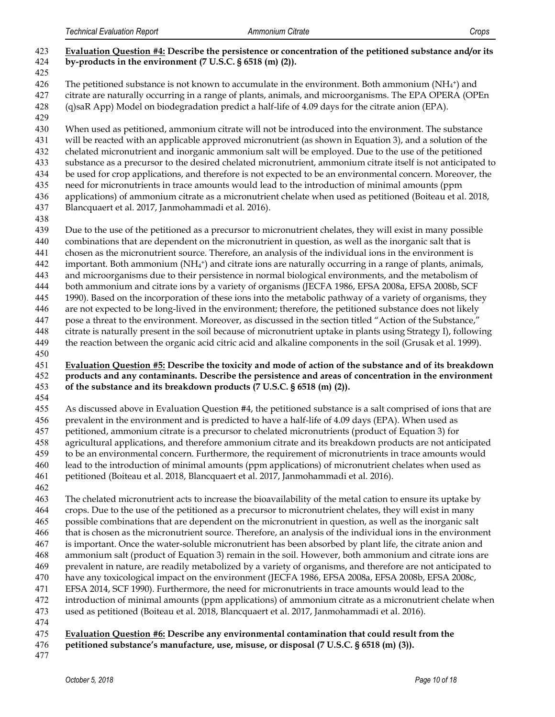| 423<br>424<br>425                                                                | Evaluation Question #4: Describe the persistence or concentration of the petitioned substance and/or its<br>by-products in the environment (7 U.S.C. § 6518 (m) (2)).                                                                                                                                                                                                                                                                                                                                                                                                                                                                                                                                                                                                                                                                                                                                                                                                                                                                                                                                                                                                                                                                   |
|----------------------------------------------------------------------------------|-----------------------------------------------------------------------------------------------------------------------------------------------------------------------------------------------------------------------------------------------------------------------------------------------------------------------------------------------------------------------------------------------------------------------------------------------------------------------------------------------------------------------------------------------------------------------------------------------------------------------------------------------------------------------------------------------------------------------------------------------------------------------------------------------------------------------------------------------------------------------------------------------------------------------------------------------------------------------------------------------------------------------------------------------------------------------------------------------------------------------------------------------------------------------------------------------------------------------------------------|
| 426<br>427<br>428<br>429                                                         | The petitioned substance is not known to accumulate in the environment. Both ammonium $(NH_4^+)$ and<br>citrate are naturally occurring in a range of plants, animals, and microorganisms. The EPA OPERA (OPEn<br>(q)saR App) Model on biodegradation predict a half-life of 4.09 days for the citrate anion (EPA).                                                                                                                                                                                                                                                                                                                                                                                                                                                                                                                                                                                                                                                                                                                                                                                                                                                                                                                     |
| 430<br>431<br>432<br>433<br>434<br>435<br>436<br>437<br>438                      | When used as petitioned, ammonium citrate will not be introduced into the environment. The substance<br>will be reacted with an applicable approved micronutrient (as shown in Equation 3), and a solution of the<br>chelated micronutrient and inorganic ammonium salt will be employed. Due to the use of the petitioned<br>substance as a precursor to the desired chelated micronutrient, ammonium citrate itself is not anticipated to<br>be used for crop applications, and therefore is not expected to be an environmental concern. Moreover, the<br>need for micronutrients in trace amounts would lead to the introduction of minimal amounts (ppm<br>applications) of ammonium citrate as a micronutrient chelate when used as petitioned (Boiteau et al. 2018,<br>Blancquaert et al. 2017, Janmohammadi et al. 2016).                                                                                                                                                                                                                                                                                                                                                                                                       |
| 439<br>440<br>441<br>442<br>443<br>444<br>445<br>446<br>447<br>448<br>449<br>450 | Due to the use of the petitioned as a precursor to micronutrient chelates, they will exist in many possible<br>combinations that are dependent on the micronutrient in question, as well as the inorganic salt that is<br>chosen as the micronutrient source. Therefore, an analysis of the individual ions in the environment is<br>important. Both ammonium $(NH_4^+)$ and citrate ions are naturally occurring in a range of plants, animals,<br>and microorganisms due to their persistence in normal biological environments, and the metabolism of<br>both ammonium and citrate ions by a variety of organisms (JECFA 1986, EFSA 2008a, EFSA 2008b, SCF<br>1990). Based on the incorporation of these ions into the metabolic pathway of a variety of organisms, they<br>are not expected to be long-lived in the environment; therefore, the petitioned substance does not likely<br>pose a threat to the environment. Moreover, as discussed in the section titled "Action of the Substance,"<br>citrate is naturally present in the soil because of micronutrient uptake in plants using Strategy I), following<br>the reaction between the organic acid citric acid and alkaline components in the soil (Grusak et al. 1999). |
| 451<br>452<br>453                                                                | Evaluation Question #5: Describe the toxicity and mode of action of the substance and of its breakdown<br>products and any contaminants. Describe the persistence and areas of concentration in the environment<br>of the substance and its breakdown products (7 U.S.C. § 6518 (m) (2)).                                                                                                                                                                                                                                                                                                                                                                                                                                                                                                                                                                                                                                                                                                                                                                                                                                                                                                                                               |
| 454<br>455<br>456<br>457<br>458<br>459<br>460<br>461<br>462                      | As discussed above in Evaluation Question #4, the petitioned substance is a salt comprised of ions that are<br>prevalent in the environment and is predicted to have a half-life of 4.09 days (EPA). When used as<br>petitioned, ammonium citrate is a precursor to chelated micronutrients (product of Equation 3) for<br>agricultural applications, and therefore ammonium citrate and its breakdown products are not anticipated<br>to be an environmental concern. Furthermore, the requirement of micronutrients in trace amounts would<br>lead to the introduction of minimal amounts (ppm applications) of micronutrient chelates when used as<br>petitioned (Boiteau et al. 2018, Blancquaert et al. 2017, Janmohammadi et al. 2016).                                                                                                                                                                                                                                                                                                                                                                                                                                                                                           |
| 463<br>464<br>465<br>466<br>467<br>468<br>469                                    | The chelated micronutrient acts to increase the bioavailability of the metal cation to ensure its uptake by<br>crops. Due to the use of the petitioned as a precursor to micronutrient chelates, they will exist in many<br>possible combinations that are dependent on the micronutrient in question, as well as the inorganic salt<br>that is chosen as the micronutrient source. Therefore, an analysis of the individual ions in the environment<br>is important. Once the water-soluble micronutrient has been absorbed by plant life, the citrate anion and<br>ammonium salt (product of Equation 3) remain in the soil. However, both ammonium and citrate ions are<br>prevalent in nature, are readily metabolized by a variety of organisms, and therefore are not anticipated to                                                                                                                                                                                                                                                                                                                                                                                                                                              |
| 470<br>471<br>472<br>473                                                         | have any toxicological impact on the environment (JECFA 1986, EFSA 2008a, EFSA 2008b, EFSA 2008c,<br>EFSA 2014, SCF 1990). Furthermore, the need for micronutrients in trace amounts would lead to the<br>introduction of minimal amounts (ppm applications) of ammonium citrate as a micronutrient chelate when<br>used as petitioned (Boiteau et al. 2018, Blancquaert et al. 2017, Janmohammadi et al. 2016).                                                                                                                                                                                                                                                                                                                                                                                                                                                                                                                                                                                                                                                                                                                                                                                                                        |

#### **Evaluation Question #6: Describe any environmental contamination that could result from the**

- **petitioned substance's manufacture, use, misuse, or disposal (7 U.S.C. § 6518 (m) (3)).**
-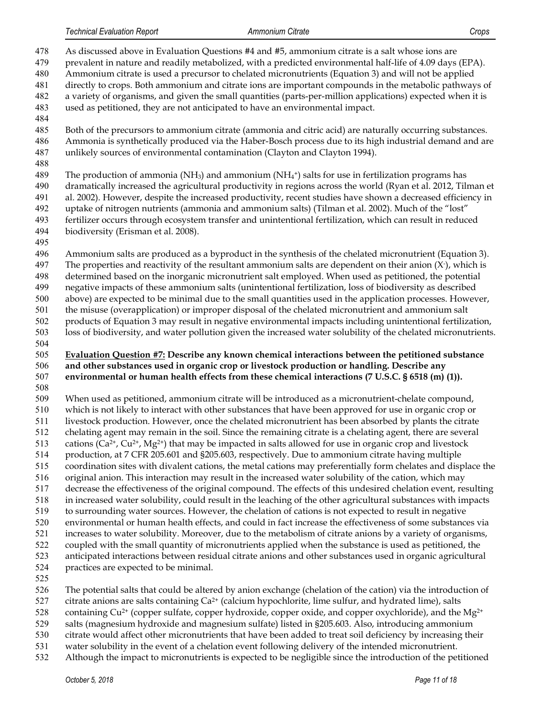As discussed above in Evaluation Questions #4 and #5, ammonium citrate is a salt whose ions are prevalent in nature and readily metabolized, with a predicted environmental half-life of 4.09 days (EPA). Ammonium citrate is used a precursor to chelated micronutrients (Equation 3) and will not be applied directly to crops. Both ammonium and citrate ions are important compounds in the metabolic pathways of a variety of organisms, and given the small quantities (parts-per-million applications) expected when it is used as petitioned, they are not anticipated to have an environmental impact. Both of the precursors to ammonium citrate (ammonia and citric acid) are naturally occurring substances. Ammonia is synthetically produced via the Haber-Bosch process due to its high industrial demand and are unlikely sources of environmental contamination (Clayton and Clayton 1994). 489 The production of ammonia (NH<sub>3</sub>) and ammonium (NH<sub>4</sub>+) salts for use in fertilization programs has dramatically increased the agricultural productivity in regions across the world (Ryan et al. 2012, Tilman et al. 2002). However, despite the increased productivity, recent studies have shown a decreased efficiency in uptake of nitrogen nutrients (ammonia and ammonium salts) (Tilman et al. 2002). Much of the "lost" fertilizer occurs through ecosystem transfer and unintentional fertilization, which can result in reduced biodiversity (Erisman et al. 2008). Ammonium salts are produced as a byproduct in the synthesis of the chelated micronutrient (Equation 3). 497 The properties and reactivity of the resultant ammonium salts are dependent on their anion  $(X)$ , which is determined based on the inorganic micronutrient salt employed. When used as petitioned, the potential negative impacts of these ammonium salts (unintentional fertilization, loss of biodiversity as described above) are expected to be minimal due to the small quantities used in the application processes. However, the misuse (overapplication) or improper disposal of the chelated micronutrient and ammonium salt products of Equation 3 may result in negative environmental impacts including unintentional fertilization, loss of biodiversity, and water pollution given the increased water solubility of the chelated micronutrients. **Evaluation Question #7: Describe any known chemical interactions between the petitioned substance and other substances used in organic crop or livestock production or handling. Describe any environmental or human health effects from these chemical interactions (7 U.S.C. § 6518 (m) (1)).** When used as petitioned, ammonium citrate will be introduced as a micronutrient-chelate compound, which is not likely to interact with other substances that have been approved for use in organic crop or livestock production. However, once the chelated micronutrient has been absorbed by plants the citrate chelating agent may remain in the soil. Since the remaining citrate is a chelating agent, there are several 513 cations ( $Ca^{2+}$ ,  $Cu^{2+}$ ,  $Mg^{2+}$ ) that may be impacted in salts allowed for use in organic crop and livestock production, at 7 CFR 205.601 and §205.603, respectively. Due to ammonium citrate having multiple coordination sites with divalent cations, the metal cations may preferentially form chelates and displace the original anion. This interaction may result in the increased water solubility of the cation, which may decrease the effectiveness of the original compound. The effects of this undesired chelation event, resulting in increased water solubility, could result in the leaching of the other agricultural substances with impacts to surrounding water sources. However, the chelation of cations is not expected to result in negative environmental or human health effects, and could in fact increase the effectiveness of some substances via increases to water solubility. Moreover, due to the metabolism of citrate anions by a variety of organisms, coupled with the small quantity of micronutrients applied when the substance is used as petitioned, the anticipated interactions between residual citrate anions and other substances used in organic agricultural

- practices are expected to be minimal.
- 

 The potential salts that could be altered by anion exchange (chelation of the cation) via the introduction of 527 citrate anions are salts containing  $Ca^{2+}$  (calcium hypochlorite, lime sulfur, and hydrated lime), salts

528 containing Cu<sup>2+</sup> (copper sulfate, copper hydroxide, copper oxide, and copper oxychloride), and the Mg<sup>2+</sup>

- 
- salts (magnesium hydroxide and magnesium sulfate) listed in §205.603. Also, introducing ammonium
- citrate would affect other micronutrients that have been added to treat soil deficiency by increasing their
- water solubility in the event of a chelation event following delivery of the intended micronutrient.
- Although the impact to micronutrients is expected to be negligible since the introduction of the petitioned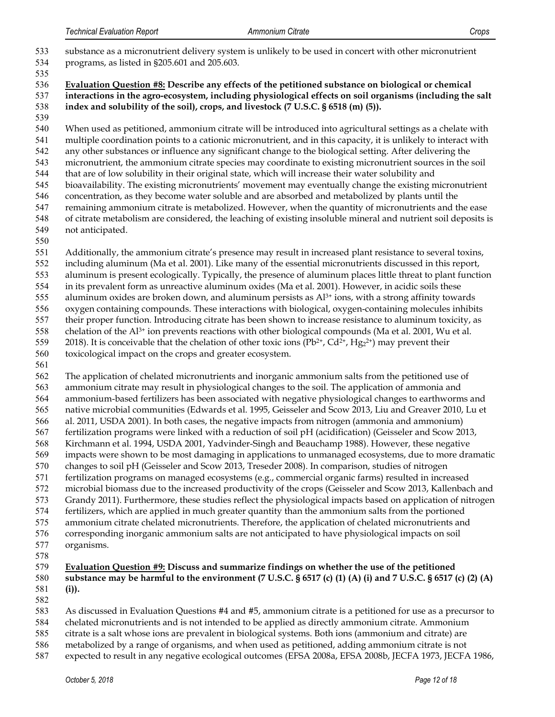substance as a micronutrient delivery system is unlikely to be used in concert with other micronutrient programs, as listed in §205.601 and 205.603. **Evaluation Question #8: Describe any effects of the petitioned substance on biological or chemical interactions in the agro-ecosystem, including physiological effects on soil organisms (including the salt index and solubility of the soil), crops, and livestock (7 U.S.C. § 6518 (m) (5)).** When used as petitioned, ammonium citrate will be introduced into agricultural settings as a chelate with multiple coordination points to a cationic micronutrient, and in this capacity, it is unlikely to interact with any other substances or influence any significant change to the biological setting. After delivering the micronutrient, the ammonium citrate species may coordinate to existing micronutrient sources in the soil that are of low solubility in their original state, which will increase their water solubility and bioavailability. The existing micronutrients' movement may eventually change the existing micronutrient concentration, as they become water soluble and are absorbed and metabolized by plants until the remaining ammonium citrate is metabolized. However, when the quantity of micronutrients and the ease of citrate metabolism are considered, the leaching of existing insoluble mineral and nutrient soil deposits is not anticipated. Additionally, the ammonium citrate's presence may result in increased plant resistance to several toxins, including aluminum (Ma et al. 2001). Like many of the essential micronutrients discussed in this report, aluminum is present ecologically. Typically, the presence of aluminum places little threat to plant function in its prevalent form as unreactive aluminum oxides (Ma et al. 2001). However, in acidic soils these 555 aluminum oxides are broken down, and aluminum persists as  $Al^{3+}$  ions, with a strong affinity towards oxygen containing compounds. These interactions with biological, oxygen-containing molecules inhibits their proper function. Introducing citrate has been shown to increase resistance to aluminum toxicity, as 558 chelation of the Al<sup>3+</sup> ion prevents reactions with other biological compounds (Ma et al. 2001, Wu et al. 559 2018). It is conceivable that the chelation of other toxic ions  $(Pb^{2+}, Cd^{2+}, Hg^{2+})$  may prevent their toxicological impact on the crops and greater ecosystem. The application of chelated micronutrients and inorganic ammonium salts from the petitioned use of ammonium citrate may result in physiological changes to the soil. The application of ammonia and ammonium-based fertilizers has been associated with negative physiological changes to earthworms and native microbial communities (Edwards et al. 1995, Geisseler and Scow 2013, Liu and Greaver 2010, Lu et al. 2011, USDA 2001). In both cases, the negative impacts from nitrogen (ammonia and ammonium) fertilization programs were linked with a reduction of soil pH (acidification) (Geisseler and Scow 2013, Kirchmann et al. 1994, USDA 2001, Yadvinder-Singh and Beauchamp 1988). However, these negative impacts were shown to be most damaging in applications to unmanaged ecosystems, due to more dramatic changes to soil pH (Geisseler and Scow 2013, Treseder 2008). In comparison, studies of nitrogen fertilization programs on managed ecosystems (e.g., commercial organic farms) resulted in increased microbial biomass due to the increased productivity of the crops (Geisseler and Scow 2013, Kallenbach and Grandy 2011). Furthermore, these studies reflect the physiological impacts based on application of nitrogen fertilizers, which are applied in much greater quantity than the ammonium salts from the portioned ammonium citrate chelated micronutrients. Therefore, the application of chelated micronutrients and corresponding inorganic ammonium salts are not anticipated to have physiological impacts on soil organisms. **Evaluation Question #9: Discuss and summarize findings on whether the use of the petitioned substance may be harmful to the environment (7 U.S.C. § 6517 (c) (1) (A) (i) and 7 U.S.C. § 6517 (c) (2) (A) (i)).** 

As discussed in Evaluation Questions #4 and #5, ammonium citrate is a petitioned for use as a precursor to

chelated micronutrients and is not intended to be applied as directly ammonium citrate. Ammonium

- citrate is a salt whose ions are prevalent in biological systems. Both ions (ammonium and citrate) are
- metabolized by a range of organisms, and when used as petitioned, adding ammonium citrate is not
- expected to result in any negative ecological outcomes (EFSA 2008a, EFSA 2008b, JECFA 1973, JECFA 1986,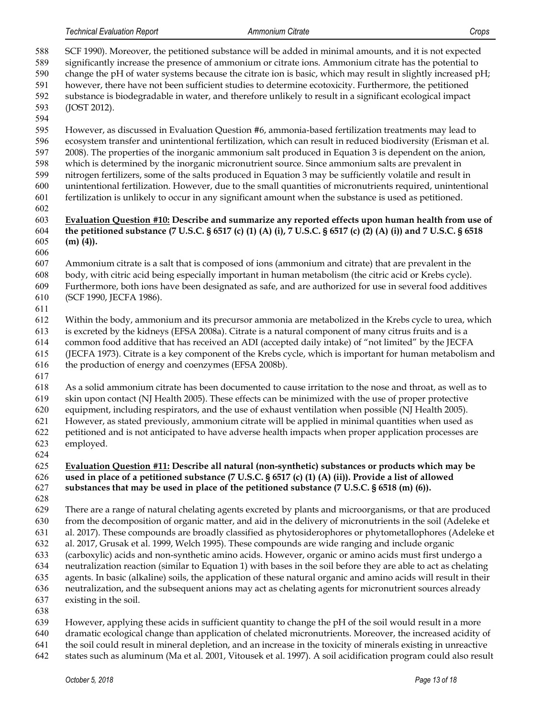- SCF 1990). Moreover, the petitioned substance will be added in minimal amounts, and it is not expected significantly increase the presence of ammonium or citrate ions. Ammonium citrate has the potential to change the pH of water systems because the citrate ion is basic, which may result in slightly increased pH; however, there have not been sufficient studies to determine ecotoxicity. Furthermore, the petitioned substance is biodegradable in water, and therefore unlikely to result in a significant ecological impact (JOST 2012). However, as discussed in Evaluation Question #6, ammonia-based fertilization treatments may lead to ecosystem transfer and unintentional fertilization, which can result in reduced biodiversity (Erisman et al. 2008). The properties of the inorganic ammonium salt produced in Equation 3 is dependent on the anion, which is determined by the inorganic micronutrient source. Since ammonium salts are prevalent in nitrogen fertilizers, some of the salts produced in Equation 3 may be sufficiently volatile and result in unintentional fertilization. However, due to the small quantities of micronutrients required, unintentional fertilization is unlikely to occur in any significant amount when the substance is used as petitioned. **Evaluation Question #10: Describe and summarize any reported effects upon human health from use of the petitioned substance (7 U.S.C. § 6517 (c) (1) (A) (i), 7 U.S.C. § 6517 (c) (2) (A) (i)) and 7 U.S.C. § 6518 (m) (4)).** Ammonium citrate is a salt that is composed of ions (ammonium and citrate) that are prevalent in the body, with citric acid being especially important in human metabolism (the citric acid or Krebs cycle). Furthermore, both ions have been designated as safe, and are authorized for use in several food additives (SCF 1990, JECFA 1986). Within the body, ammonium and its precursor ammonia are metabolized in the Krebs cycle to urea, which is excreted by the kidneys (EFSA 2008a). Citrate is a natural component of many citrus fruits and is a common food additive that has received an ADI (accepted daily intake) of "not limited" by the JECFA (JECFA 1973). Citrate is a key component of the Krebs cycle, which is important for human metabolism and the production of energy and coenzymes (EFSA 2008b). As a solid ammonium citrate has been documented to cause irritation to the nose and throat, as well as to skin upon contact (NJ Health 2005). These effects can be minimized with the use of proper protective equipment, including respirators, and the use of exhaust ventilation when possible (NJ Health 2005). However, as stated previously, ammonium citrate will be applied in minimal quantities when used as petitioned and is not anticipated to have adverse health impacts when proper application processes are employed. **Evaluation Question #11: Describe all natural (non-synthetic) substances or products which may be used in place of a petitioned substance (7 U.S.C. § 6517 (c) (1) (A) (ii)). Provide a list of allowed substances that may be used in place of the petitioned substance (7 U.S.C. § 6518 (m) (6)).** There are a range of natural chelating agents excreted by plants and microorganisms, or that are produced from the decomposition of organic matter, and aid in the delivery of micronutrients in the soil (Adeleke et al. 2017). These compounds are broadly classified as phytosiderophores or phytometallophores (Adeleke et al. 2017, Grusak et al. 1999, Welch 1995). These compounds are wide ranging and include organic (carboxylic) acids and non-synthetic amino acids. However, organic or amino acids must first undergo a neutralization reaction (similar to Equation 1) with bases in the soil before they are able to act as chelating agents. In basic (alkaline) soils, the application of these natural organic and amino acids will result in their neutralization, and the subsequent anions may act as chelating agents for micronutrient sources already existing in the soil. However, applying these acids in sufficient quantity to change the pH of the soil would result in a more dramatic ecological change than application of chelated micronutrients. Moreover, the increased acidity of the soil could result in mineral depletion, and an increase in the toxicity of minerals existing in unreactive
- states such as aluminum (Ma et al. 2001, Vitousek et al. 1997). A soil acidification program could also result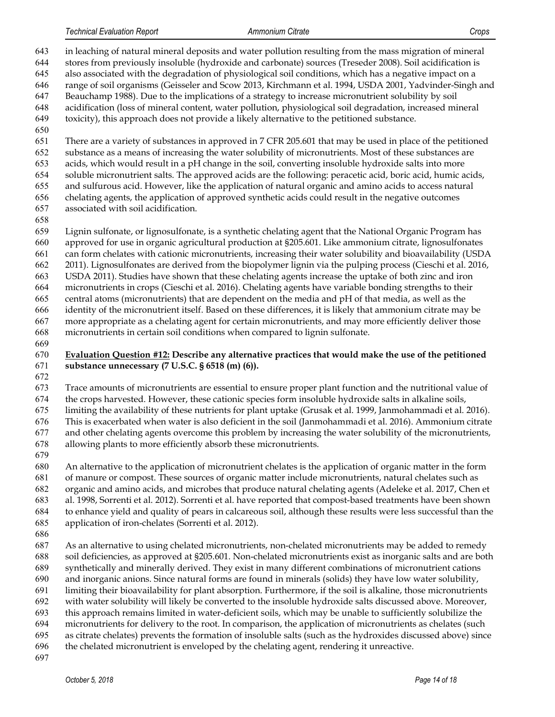in leaching of natural mineral deposits and water pollution resulting from the mass migration of mineral stores from previously insoluble (hydroxide and carbonate) sources (Treseder 2008). Soil acidification is also associated with the degradation of physiological soil conditions, which has a negative impact on a range of soil organisms (Geisseler and Scow 2013, Kirchmann et al. 1994, USDA 2001, Yadvinder-Singh and Beauchamp 1988). Due to the implications of a strategy to increase micronutrient solubility by soil acidification (loss of mineral content, water pollution, physiological soil degradation, increased mineral toxicity), this approach does not provide a likely alternative to the petitioned substance. There are a variety of substances in approved in 7 CFR 205.601 that may be used in place of the petitioned substance as a means of increasing the water solubility of micronutrients. Most of these substances are acids, which would result in a pH change in the soil, converting insoluble hydroxide salts into more soluble micronutrient salts. The approved acids are the following: peracetic acid, boric acid, humic acids, and sulfurous acid. However, like the application of natural organic and amino acids to access natural chelating agents, the application of approved synthetic acids could result in the negative outcomes associated with soil acidification. Lignin sulfonate, or lignosulfonate, is a synthetic chelating agent that the National Organic Program has approved for use in organic agricultural production at §205.601. Like ammonium citrate, lignosulfonates can form chelates with cationic micronutrients, increasing their water solubility and bioavailability (USDA 2011). Lignosulfonates are derived from the biopolymer lignin via the pulping process (Cieschi et al. 2016, USDA 2011). Studies have shown that these chelating agents increase the uptake of both zinc and iron

 micronutrients in crops (Cieschi et al. 2016). Chelating agents have variable bonding strengths to their central atoms (micronutrients) that are dependent on the media and pH of that media, as well as the identity of the micronutrient itself. Based on these differences, it is likely that ammonium citrate may be more appropriate as a chelating agent for certain micronutrients, and may more efficiently deliver those micronutrients in certain soil conditions when compared to lignin sulfonate.

# **Evaluation Question #12: Describe any alternative practices that would make the use of the petitioned substance unnecessary (7 U.S.C. § 6518 (m) (6)).**

Trace amounts of micronutrients are essential to ensure proper plant function and the nutritional value of

the crops harvested. However, these cationic species form insoluble hydroxide salts in alkaline soils,

limiting the availability of these nutrients for plant uptake (Grusak et al. 1999, Janmohammadi et al. 2016).

 This is exacerbated when water is also deficient in the soil (Janmohammadi et al. 2016). Ammonium citrate and other chelating agents overcome this problem by increasing the water solubility of the micronutrients,

allowing plants to more efficiently absorb these micronutrients.

 An alternative to the application of micronutrient chelates is the application of organic matter in the form of manure or compost. These sources of organic matter include micronutrients, natural chelates such as organic and amino acids, and microbes that produce natural chelating agents (Adeleke et al. 2017, Chen et al. 1998, Sorrenti et al. 2012). Sorrenti et al. have reported that compost-based treatments have been shown to enhance yield and quality of pears in calcareous soil, although these results were less successful than the application of iron-chelates (Sorrenti et al. 2012).

 As an alternative to using chelated micronutrients, non-chelated micronutrients may be added to remedy soil deficiencies, as approved at §205.601. Non-chelated micronutrients exist as inorganic salts and are both synthetically and minerally derived. They exist in many different combinations of micronutrient cations and inorganic anions. Since natural forms are found in minerals (solids) they have low water solubility, limiting their bioavailability for plant absorption. Furthermore, if the soil is alkaline, those micronutrients with water solubility will likely be converted to the insoluble hydroxide salts discussed above. Moreover, this approach remains limited in water-deficient soils, which may be unable to sufficiently solubilize the micronutrients for delivery to the root. In comparison, the application of micronutrients as chelates (such as citrate chelates) prevents the formation of insoluble salts (such as the hydroxides discussed above) since

- the chelated micronutrient is enveloped by the chelating agent, rendering it unreactive.
-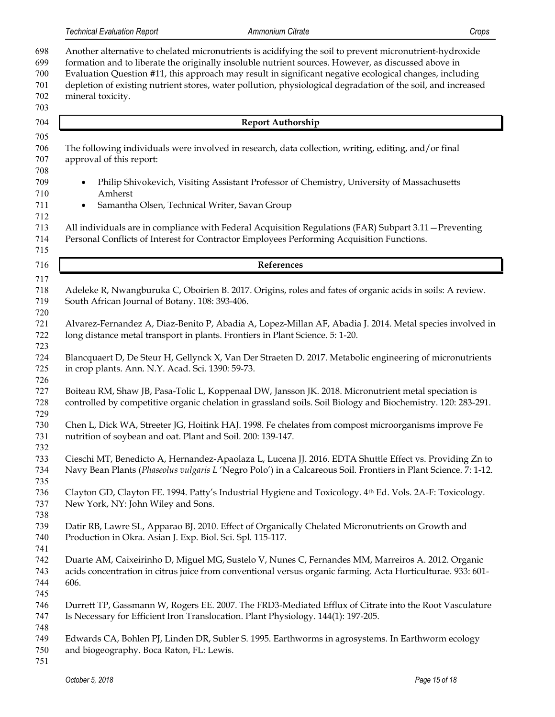Another alternative to chelated micronutrients is acidifying the soil to prevent micronutrient-hydroxide formation and to liberate the originally insoluble nutrient sources. However, as discussed above in Evaluation Question #11, this approach may result in significant negative ecological changes, including depletion of existing nutrient stores, water pollution, physiological degradation of the soil, and increased mineral toxicity. **Report Authorship** The following individuals were involved in research, data collection, writing, editing, and/or final approval of this report: • Philip Shivokevich, Visiting Assistant Professor of Chemistry, University of Massachusetts Amherst • Samantha Olsen, Technical Writer, Savan Group All individuals are in compliance with Federal Acquisition Regulations (FAR) Subpart 3.11—Preventing Personal Conflicts of Interest for Contractor Employees Performing Acquisition Functions. **References** Adeleke R, Nwangburuka C, Oboirien B. 2017. Origins, roles and fates of organic acids in soils: A review. South African Journal of Botany. 108: 393-406. Alvarez-Fernandez A, Diaz-Benito P, Abadia A, Lopez-Millan AF, Abadia J. 2014. Metal species involved in long distance metal transport in plants. Frontiers in Plant Science. 5: 1-20. Blancquaert D, De Steur H, Gellynck X, Van Der Straeten D. 2017. Metabolic engineering of micronutrients in crop plants. Ann. N.Y. Acad. Sci*.* 1390: 59-73. Boiteau RM, Shaw JB, Pasa-Tolic L, Koppenaal DW, Jansson JK. 2018. Micronutrient metal speciation is controlled by competitive organic chelation in grassland soils. Soil Biology and Biochemistry. 120: 283-291. Chen L, Dick WA, Streeter JG, Hoitink HAJ. 1998. Fe chelates from compost microorganisms improve Fe nutrition of soybean and oat. Plant and Soil. 200: 139-147. Cieschi MT, Benedicto A, Hernandez-Apaolaza L, Lucena JJ. 2016. EDTA Shuttle Effect vs. Providing Zn to Navy Bean Plants (*Phaseolus vulgaris L* 'Negro Polo') in a Calcareous Soil. Frontiers in Plant Science. 7: 1-12. 736 Clayton GD, Clayton FE. 1994. Patty's Industrial Hygiene and Toxicology. 4th Ed. Vols. 2A-F: Toxicology. New York, NY: John Wiley and Sons. Datir RB, Lawre SL, Apparao BJ. 2010. Effect of Organically Chelated Micronutrients on Growth and Production in Okra. Asian J. Exp. Biol. Sci. Spl*.* 115-117. Duarte AM, Caixeirinho D, Miguel MG, Sustelo V, Nunes C, Fernandes MM, Marreiros A. 2012. Organic acids concentration in citrus juice from conventional versus organic farming. Acta Horticulturae. 933: 601- 606. Durrett TP, Gassmann W, Rogers EE. 2007. The FRD3-Mediated Efflux of Citrate into the Root Vasculature Is Necessary for Efficient Iron Translocation. Plant Physiology. 144(1): 197-205. Edwards CA, Bohlen PJ, Linden DR, Subler S. 1995. Earthworms in agrosystems. In Earthworm ecology and biogeography. Boca Raton, FL: Lewis.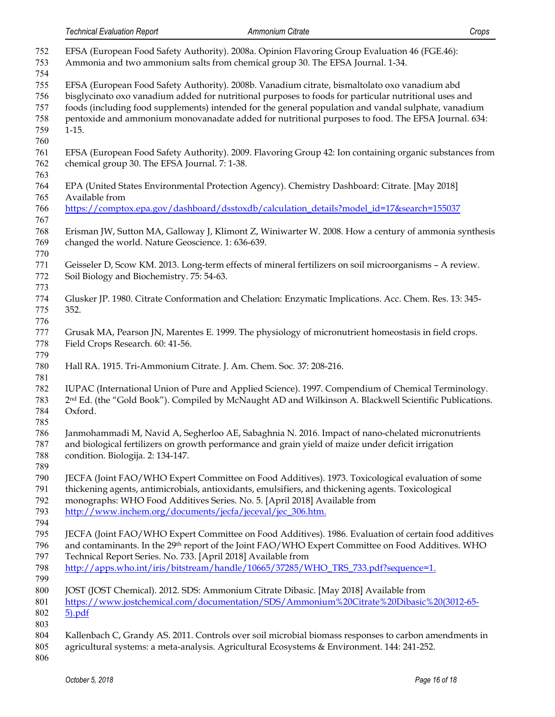| 752<br>753                      | EFSA (European Food Safety Authority). 2008a. Opinion Flavoring Group Evaluation 46 (FGE.46):<br>Ammonia and two ammonium salts from chemical group 30. The EFSA Journal. 1-34.                                                                                                                                                                                                                                      |
|---------------------------------|----------------------------------------------------------------------------------------------------------------------------------------------------------------------------------------------------------------------------------------------------------------------------------------------------------------------------------------------------------------------------------------------------------------------|
| 754<br>755<br>756<br>757<br>758 | EFSA (European Food Safety Authority). 2008b. Vanadium citrate, bismaltolato oxo vanadium abd<br>bisglycinato oxo vanadium added for nutritional purposes to foods for particular nutritional uses and<br>foods (including food supplements) intended for the general population and vandal sulphate, vanadium<br>pentoxide and ammonium monovanadate added for nutritional purposes to food. The EFSA Journal. 634: |
| 759<br>760                      | $1-15.$                                                                                                                                                                                                                                                                                                                                                                                                              |
| 761<br>762<br>763               | EFSA (European Food Safety Authority). 2009. Flavoring Group 42: Ion containing organic substances from<br>chemical group 30. The EFSA Journal. 7: 1-38.                                                                                                                                                                                                                                                             |
| 764<br>765                      | EPA (United States Environmental Protection Agency). Chemistry Dashboard: Citrate. [May 2018]<br>Available from                                                                                                                                                                                                                                                                                                      |
| 766<br>767                      | https://comptox.epa.gov/dashboard/dsstoxdb/calculation_details?model_id=17&search=155037                                                                                                                                                                                                                                                                                                                             |
| 768<br>769<br>770               | Erisman JW, Sutton MA, Galloway J, Klimont Z, Winiwarter W. 2008. How a century of ammonia synthesis<br>changed the world. Nature Geoscience. 1: 636-639.                                                                                                                                                                                                                                                            |
| 771<br>772<br>773               | Geisseler D, Scow KM. 2013. Long-term effects of mineral fertilizers on soil microorganisms - A review.<br>Soil Biology and Biochemistry. 75: 54-63.                                                                                                                                                                                                                                                                 |
| 774<br>775<br>776               | Glusker JP. 1980. Citrate Conformation and Chelation: Enzymatic Implications. Acc. Chem. Res. 13: 345-<br>352.                                                                                                                                                                                                                                                                                                       |
| 777<br>778<br>779               | Grusak MA, Pearson JN, Marentes E. 1999. The physiology of micronutrient homeostasis in field crops.<br>Field Crops Research. 60: 41-56.                                                                                                                                                                                                                                                                             |
| 780<br>781                      | Hall RA. 1915. Tri-Ammonium Citrate. J. Am. Chem. Soc. 37: 208-216.                                                                                                                                                                                                                                                                                                                                                  |
| 782<br>783<br>784<br>785        | IUPAC (International Union of Pure and Applied Science). 1997. Compendium of Chemical Terminology.<br>2 <sup>nd</sup> Ed. (the "Gold Book"). Compiled by McNaught AD and Wilkinson A. Blackwell Scientific Publications.<br>Oxford.                                                                                                                                                                                  |
| 786<br>787<br>788               | Janmohammadi M, Navid A, Segherloo AE, Sabaghnia N. 2016. Impact of nano-chelated micronutrients<br>and biological fertilizers on growth performance and grain yield of maize under deficit irrigation<br>condition. Biologija. 2: 134-147.                                                                                                                                                                          |
| 789<br>790<br>791<br>792<br>793 | JECFA (Joint FAO/WHO Expert Committee on Food Additives). 1973. Toxicological evaluation of some<br>thickening agents, antimicrobials, antioxidants, emulsifiers, and thickening agents. Toxicological<br>monographs: WHO Food Additives Series. No. 5. [April 2018] Available from<br>http://www.inchem.org/documents/jecfa/jeceval/jec_306.htm.                                                                    |
| 794<br>795<br>796<br>797        | JECFA (Joint FAO/WHO Expert Committee on Food Additives). 1986. Evaluation of certain food additives<br>and contaminants. In the 29th report of the Joint FAO/WHO Expert Committee on Food Additives. WHO<br>Technical Report Series. No. 733. [April 2018] Available from                                                                                                                                           |
| 798<br>799                      | http://apps.who.int/iris/bitstream/handle/10665/37285/WHO_TRS_733.pdf?sequence=1.                                                                                                                                                                                                                                                                                                                                    |
| 800<br>801<br>802               | JOST (JOST Chemical). 2012. SDS: Ammonium Citrate Dibasic. [May 2018] Available from<br>https://www.jostchemical.com/documentation/SDS/Ammonium%20Citrate%20Dibasic%20(3012-65-<br>$5)$ .pdf                                                                                                                                                                                                                         |
| 803<br>804<br>805<br>806        | Kallenbach C, Grandy AS. 2011. Controls over soil microbial biomass responses to carbon amendments in<br>agricultural systems: a meta-analysis. Agricultural Ecosystems & Environment. 144: 241-252.                                                                                                                                                                                                                 |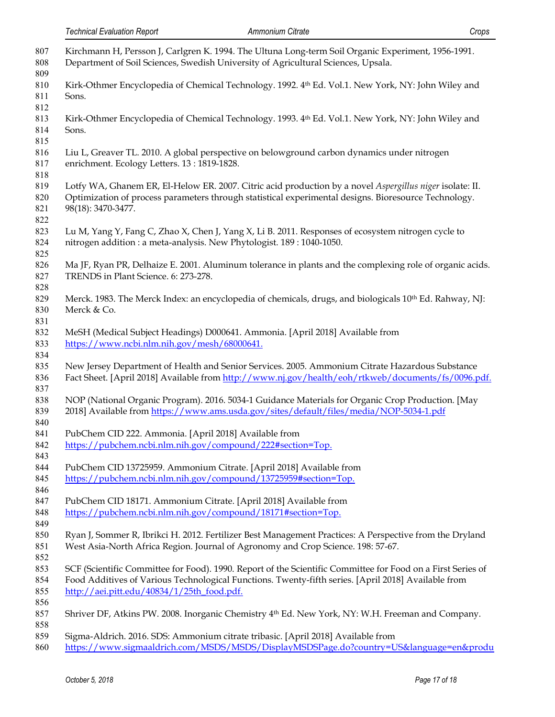| 807<br>808<br>809               | Kirchmann H, Persson J, Carlgren K. 1994. The Ultuna Long-term Soil Organic Experiment, 1956-1991.<br>Department of Soil Sciences, Swedish University of Agricultural Sciences, Upsala.                                                                          |
|---------------------------------|------------------------------------------------------------------------------------------------------------------------------------------------------------------------------------------------------------------------------------------------------------------|
| 810<br>811<br>812               | Kirk-Othmer Encyclopedia of Chemical Technology. 1992. 4th Ed. Vol.1. New York, NY: John Wiley and<br>Sons.                                                                                                                                                      |
| 813<br>814<br>815               | Kirk-Othmer Encyclopedia of Chemical Technology. 1993. 4th Ed. Vol.1. New York, NY: John Wiley and<br>Sons.                                                                                                                                                      |
| 816<br>817<br>818               | Liu L, Greaver TL. 2010. A global perspective on belowground carbon dynamics under nitrogen<br>enrichment. Ecology Letters. 13: 1819-1828.                                                                                                                       |
| 819<br>820<br>821<br>822        | Lotfy WA, Ghanem ER, El-Helow ER. 2007. Citric acid production by a novel Aspergillus niger isolate: II.<br>Optimization of process parameters through statistical experimental designs. Bioresource Technology.<br>98(18): 3470-3477.                           |
| 823<br>824<br>825               | Lu M, Yang Y, Fang C, Zhao X, Chen J, Yang X, Li B. 2011. Responses of ecosystem nitrogen cycle to<br>nitrogen addition : a meta-analysis. New Phytologist. 189 : 1040-1050.                                                                                     |
| 826<br>827<br>828               | Ma JF, Ryan PR, Delhaize E. 2001. Aluminum tolerance in plants and the complexing role of organic acids.<br>TRENDS in Plant Science. 6: 273-278.                                                                                                                 |
| 829<br>830                      | Merck. 1983. The Merck Index: an encyclopedia of chemicals, drugs, and biologicals 10 <sup>th</sup> Ed. Rahway, NJ:<br>Merck & Co.                                                                                                                               |
| 831<br>832<br>833               | MeSH (Medical Subject Headings) D000641. Ammonia. [April 2018] Available from<br>https://www.ncbi.nlm.nih.gov/mesh/68000641.                                                                                                                                     |
| 834<br>835<br>836               | New Jersey Department of Health and Senior Services. 2005. Ammonium Citrate Hazardous Substance<br>Fact Sheet. [April 2018] Available from http://www.nj.gov/health/eoh/rtkweb/documents/fs/0096.pdf.                                                            |
| 837<br>838<br>839               | NOP (National Organic Program). 2016. 5034-1 Guidance Materials for Organic Crop Production. [May<br>2018] Available from https://www.ams.usda.gov/sites/default/files/media/NOP-5034-1.pdf                                                                      |
| 840<br>841<br>842<br>843        | PubChem CID 222. Ammonia. [April 2018] Available from<br>https://pubchem.ncbi.nlm.nih.gov/compound/222#section=Top.                                                                                                                                              |
| 844<br>845<br>846               | PubChem CID 13725959. Ammonium Citrate. [April 2018] Available from<br>https://pubchem.ncbi.nlm.nih.gov/compound/13725959#section=Top.                                                                                                                           |
| 847<br>848<br>849               | PubChem CID 18171. Ammonium Citrate. [April 2018] Available from<br>https://pubchem.ncbi.nlm.nih.gov/compound/18171#section=Top.                                                                                                                                 |
| 850<br>851                      | Ryan J, Sommer R, Ibrikci H. 2012. Fertilizer Best Management Practices: A Perspective from the Dryland<br>West Asia-North Africa Region. Journal of Agronomy and Crop Science. 198: 57-67.                                                                      |
| 852<br>853<br>854<br>855<br>856 | SCF (Scientific Committee for Food). 1990. Report of the Scientific Committee for Food on a First Series of<br>Food Additives of Various Technological Functions. Twenty-fifth series. [April 2018] Available from<br>http://aei.pitt.edu/40834/1/25th_food.pdf. |
| 857<br>858                      | Shriver DF, Atkins PW. 2008. Inorganic Chemistry 4 <sup>th</sup> Ed. New York, NY: W.H. Freeman and Company.                                                                                                                                                     |
| 859                             | Sigma-Aldrich. 2016. SDS: Ammonium citrate tribasic. [April 2018] Available from                                                                                                                                                                                 |

[https://www.sigmaaldrich.com/MSDS/MSDS/DisplayMSDSPage.do?country=US&language=en&produ](https://www.sigmaaldrich.com/MSDS/MSDS/DisplayMSDSPage.do?country=US&language=en&productNumber=A1332&brand=SIGMA&PageToGoToURL=https%3A%2F%2Fwww.sigmaaldrich.com%2Fcatalog%2Fproduct%2Fsigma%2Fa1332%3Flang%3Den)